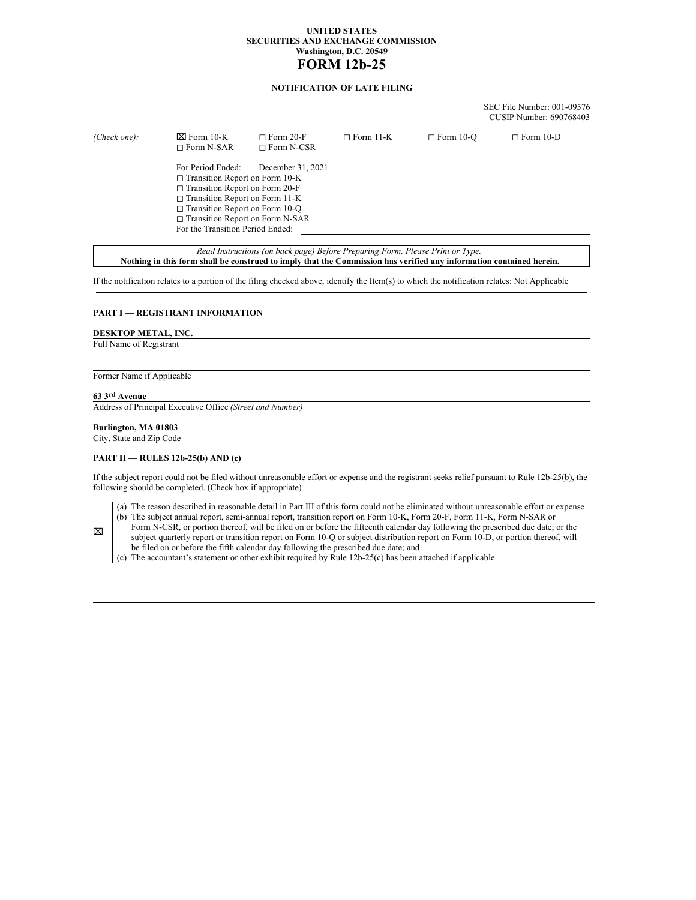## **UNITED STATES SECURITIES AND EXCHANGE COMMISSION Washington, D.C. 20549 FORM 12b-25**

# **NOTIFICATION OF LATE FILING**

SEC File Number: 001-09576 CUSIP Number: 690768403

| (Check one): | $\boxtimes$ Form 10-K<br>$\sqcap$ Form N-SAR | $\Box$ Form 20-F<br>$\Box$ Form N-CSR | $\Box$ Form 11-K | $\Box$ Form 10-O | $\Box$ Form 10-D |  |
|--------------|----------------------------------------------|---------------------------------------|------------------|------------------|------------------|--|
|              | For Period Ended:                            | December 31, 2021                     |                  |                  |                  |  |
|              | $\Box$ Transition Report on Form 10-K        |                                       |                  |                  |                  |  |
|              | $\Box$ Transition Report on Form 20-F        |                                       |                  |                  |                  |  |
|              | $\Box$ Transition Report on Form 11-K        |                                       |                  |                  |                  |  |
|              | $\Box$ Transition Report on Form 10-Q        |                                       |                  |                  |                  |  |
|              | $\Box$ Transition Report on Form N-SAR       |                                       |                  |                  |                  |  |
|              | For the Transition Period Ended:             |                                       |                  |                  |                  |  |
|              |                                              |                                       |                  |                  |                  |  |

*Read Instructions (on back page) Before Preparing Form. Please Print or Type.* Nothing in this form shall be construed to imply that the Commission has verified any information contained herein.

If the notification relates to a portion of the filing checked above, identify the Item(s) to which the notification relates: Not Applicable

## **PART I — REGISTRANT INFORMATION**

#### **DESKTOP METAL, INC.**

Full Name of Registrant

## Former Name if Applicable

### **63 3rd Avenue**

⌧

Address of Principal Executive Office *(Street and Number)*

#### **Burlington, MA 01803**

City, State and Zip Code

## **PART II — RULES 12b-25(b) AND (c)**

If the subject report could not be filed without unreasonable effort or expense and the registrant seeks relief pursuant to Rule 12b-25(b), the following should be completed. (Check box if appropriate)

- (a) The reason described in reasonable detail in Part III of this form could not be eliminated without unreasonable effort or expense
- (b) The subject annual report, semi-annual report, transition report on Form 10-K, Form 20-F, Form 11-K, Form N-SAR or Form N-CSR, or portion thereof, will be filed on or before the fifteenth calendar day following the prescribed due date; or the
- subject quarterly report or transition report on Form 10-Q or subject distribution report on Form 10-D, or portion thereof, will be filed on or before the fifth calendar day following the prescribed due date; and
- (c) The accountant's statement or other exhibit required by Rule 12b-25(c) has been attached if applicable.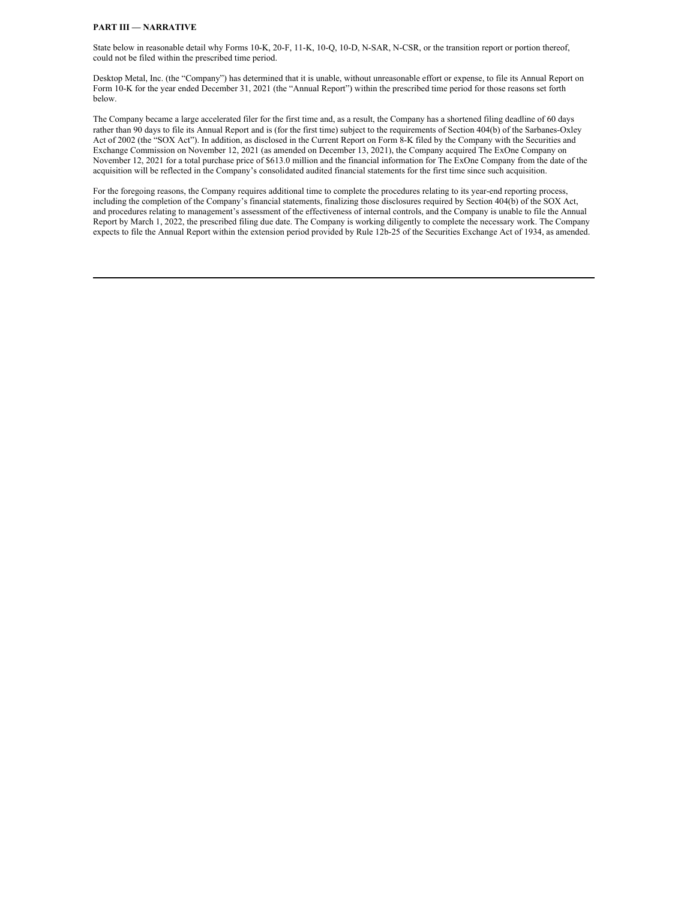#### **PART III — NARRATIVE**

State below in reasonable detail why Forms 10-K, 20-F, 11-K, 10-Q, 10-D, N-SAR, N-CSR, or the transition report or portion thereof, could not be filed within the prescribed time period.

Desktop Metal, Inc. (the "Company") has determined that it is unable, without unreasonable effort or expense, to file its Annual Report on Form 10-K for the year ended December 31, 2021 (the "Annual Report") within the prescribed time period for those reasons set forth below.

The Company became a large accelerated filer for the first time and, as a result, the Company has a shortened filing deadline of 60 days rather than 90 days to file its Annual Report and is (for the first time) subject to the requirements of Section 404(b) of the Sarbanes-Oxley Act of 2002 (the "SOX Act"). In addition, as disclosed in the Current Report on Form 8-K filed by the Company with the Securities and Exchange Commission on November 12, 2021 (as amended on December 13, 2021), the Company acquired The ExOne Company on November 12, 2021 for a total purchase price of \$613.0 million and the financial information for The ExOne Company from the date of the acquisition will be reflected in the Company's consolidated audited financial statements for the first time since such acquisition.

For the foregoing reasons, the Company requires additional time to complete the procedures relating to its year-end reporting process, including the completion of the Company's financial statements, finalizing those disclosures required by Section 404(b) of the SOX Act, and procedures relating to management's assessment of the effectiveness of internal controls, and the Company is unable to file the Annual Report by March 1, 2022, the prescribed filing due date. The Company is working diligently to complete the necessary work. The Company expects to file the Annual Report within the extension period provided by Rule 12b-25 of the Securities Exchange Act of 1934, as amended.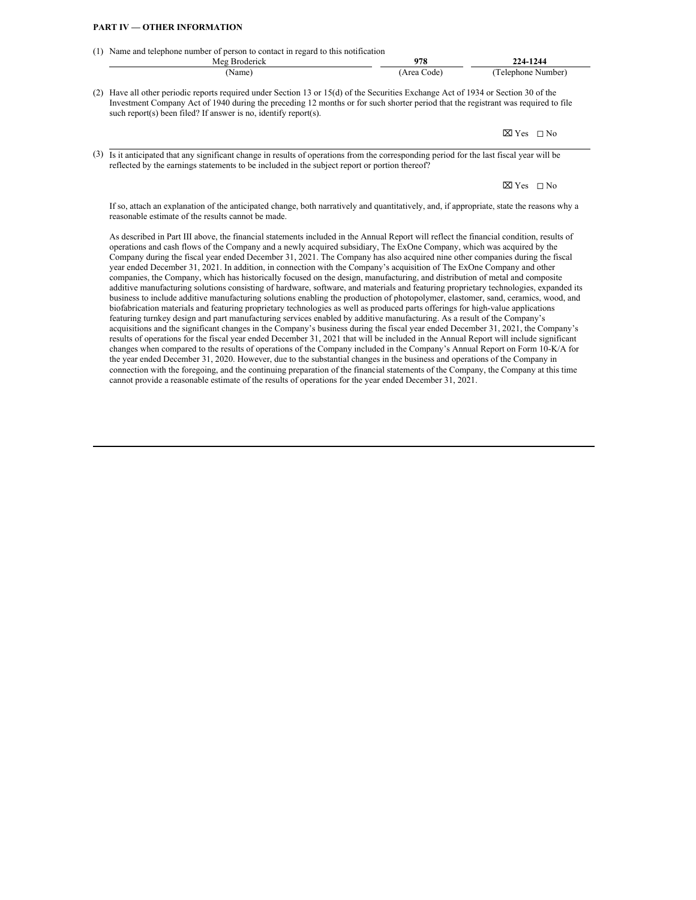## **PART IV — OTHER INFORMATION**

| (1) | Name and telephone number of person to contact in regard to this notification<br>Meg Broderick                                                                                                                                                                                                                                                                                                                                                                                                                            | 978         | 224-1244                  |
|-----|---------------------------------------------------------------------------------------------------------------------------------------------------------------------------------------------------------------------------------------------------------------------------------------------------------------------------------------------------------------------------------------------------------------------------------------------------------------------------------------------------------------------------|-------------|---------------------------|
|     | (Name)                                                                                                                                                                                                                                                                                                                                                                                                                                                                                                                    | (Area Code) | (Telephone Number)        |
| (2) | Have all other periodic reports required under Section 13 or 15(d) of the Securities Exchange Act of 1934 or Section 30 of the<br>Investment Company Act of 1940 during the preceding 12 months or for such shorter period that the registrant was required to file<br>such report(s) been filed? If answer is no, identify report(s).                                                                                                                                                                                    |             |                           |
|     |                                                                                                                                                                                                                                                                                                                                                                                                                                                                                                                           |             | $\boxtimes$ Yes $\Box$ No |
| (3) | Is it anticipated that any significant change in results of operations from the corresponding period for the last fiscal year will be<br>reflected by the earnings statements to be included in the subject report or portion thereof?                                                                                                                                                                                                                                                                                    |             |                           |
|     |                                                                                                                                                                                                                                                                                                                                                                                                                                                                                                                           |             | $\boxtimes$ Yes $\Box$ No |
|     | If so, attach an explanation of the anticipated change, both narratively and quantitatively, and, if appropriate, state the reasons why a<br>reasonable estimate of the results cannot be made.                                                                                                                                                                                                                                                                                                                           |             |                           |
|     | As described in Part III above, the financial statements included in the Annual Report will reflect the financial condition, results of<br>operations and cash flows of the Company and a newly acquired subsidiary, The ExOne Company, which was acquired by the<br>Company during the fiscal year ended December 31, 2021. The Company has also acquired nine other companies during the fiscal<br>year anded December 21, 2021. In addition in connection with the Company's equipition of The ExOne Company and other |             |                           |

year ended December 31, 2021. In addition, in connection with the Company's acquisition of The ExOne Company and other companies, the Company, which has historically focused on the design, manufacturing, and distribution of metal and composite additive manufacturing solutions consisting of hardware, software, and materials and featuring proprietary technologies, expanded its business to include additive manufacturing solutions enabling the production of photopolymer, elastomer, sand, ceramics, wood, and biofabrication materials and featuring proprietary technologies as well as produced parts offerings for high-value applications featuring turnkey design and part manufacturing services enabled by additive manufacturing. As a result of the Company's acquisitions and the significant changes in the Company's business during the fiscal year ended December 31, 2021, the Company's results of operations for the fiscal year ended December 31, 2021 that will be included in the Annual Report will include significant changes when compared to the results of operations of the Company included in the Company's Annual Report on Form 10-K/A for the year ended December 31, 2020. However, due to the substantial changes in the business and operations of the Company in connection with the foregoing, and the continuing preparation of the financial statements of the Company, the Company at this time cannot provide a reasonable estimate of the results of operations for the year ended December 31, 2021.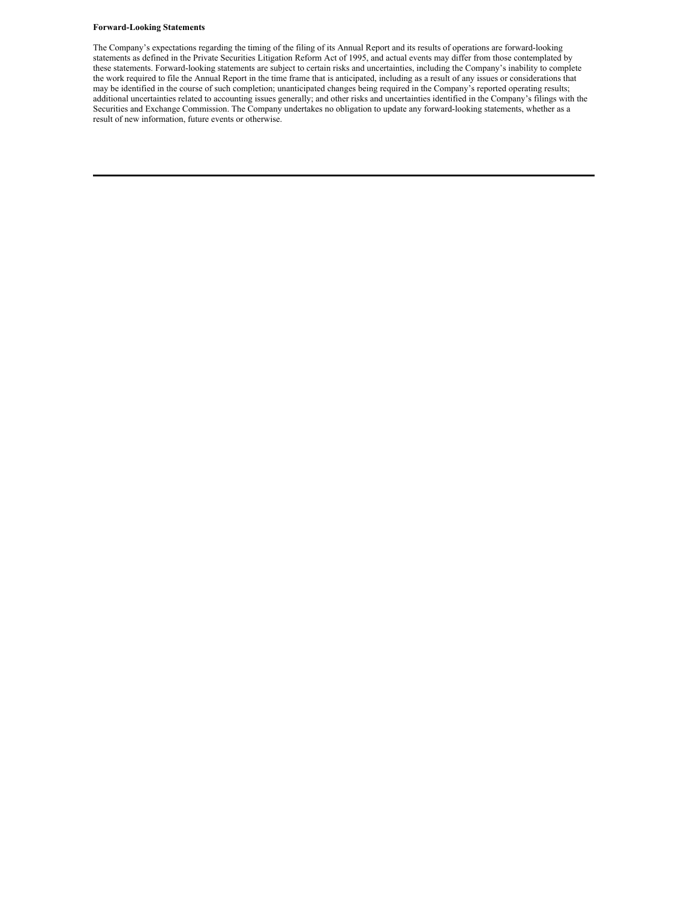### **Forward-Looking Statements**

The Company's expectations regarding the timing of the filing of its Annual Report and its results of operations are forward-looking statements as defined in the Private Securities Litigation Reform Act of 1995, and actual events may differ from those contemplated by these statements. Forward-looking statements are subject to certain risks and uncertainties, including the Company's inability to complete the work required to file the Annual Report in the time frame that is anticipated, including as a result of any issues or considerations that may be identified in the course of such completion; unanticipated changes being required in the Company's reported operating results; additional uncertainties related to accounting issues generally; and other risks and uncertainties identified in the Company's filings with the Securities and Exchange Commission. The Company undertakes no obligation to update any forward-looking statements, whether as a result of new information, future events or otherwise.